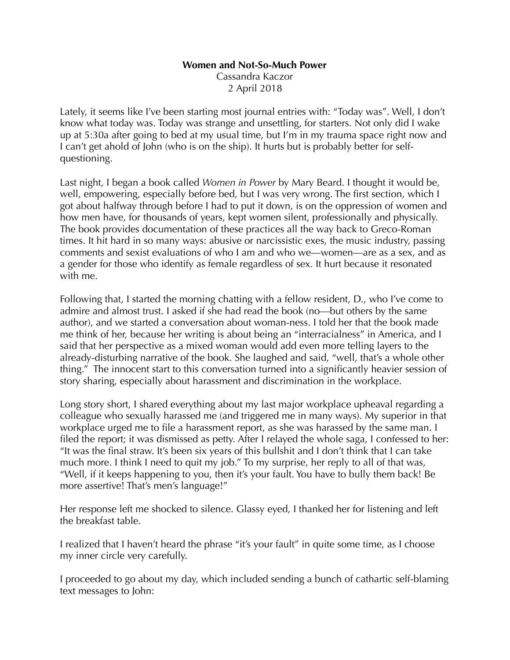## **Women and Not-So-Much Power**

Cassandra Kaczor 2 April 2018

Lately, it seems like I've been starting most journal entries with: "Today was". Well, I don't know what today was. Today was strange and unsettling, for starters. Not only did I wake up at 5:30a after going to bed at my usual time, but I'm in my trauma space right now and I can't get ahold of John (who is on the ship). It hurts but is probably better for selfquestioning.

Last night, I began a book called *Women in Power* by Mary Beard. I thought it would be, well, empowering, especially before bed, but I was very wrong. The first section, which I got about halfway through before I had to put it down, is on the oppression of women and how men have, for thousands of years, kept women silent, professionally and physically. The book provides documentation of these practices all the way back to Greco-Roman times. It hit hard in so many ways: abusive or narcissistic exes, the music industry, passing comments and sexist evaluations of who I am and who we—women—are as a sex, and as a gender for those who identify as female regardless of sex. It hurt because it resonated with me.

Following that, I started the morning chatting with a fellow resident, D., who I've come to admire and almost trust. I asked if she had read the book (no—but others by the same author), and we started a conversation about woman-ness. I told her that the book made me think of her, because her writing is about being an "interracialness" in America, and I said that her perspective as a mixed woman would add even more telling layers to the already-disturbing narrative of the book. She laughed and said, "well, that's a whole other thing." The innocent start to this conversation turned into a significantly heavier session of story sharing, especially about harassment and discrimination in the workplace.

Long story short, I shared everything about my last major workplace upheaval regarding a colleague who sexually harassed me (and triggered me in many ways). My superior in that workplace urged me to file a harassment report, as she was harassed by the same man. I filed the report; it was dismissed as petty. After I relayed the whole saga, I confessed to her: "It was the final straw. It's been six years of this bullshit and I don't think that I can take much more. I think I need to quit my job." To my surprise, her reply to all of that was, "Well, if it keeps happening to you, then it's your fault. You have to bully them back! Be more assertive! That's men's language!"

Her response left me shocked to silence. Glassy eyed, I thanked her for listening and left the breakfast table.

I realized that I haven't heard the phrase "it's your fault" in quite some time, as I choose my inner circle very carefully.

I proceeded to go about my day, which included sending a bunch of cathartic self-blaming text messages to John: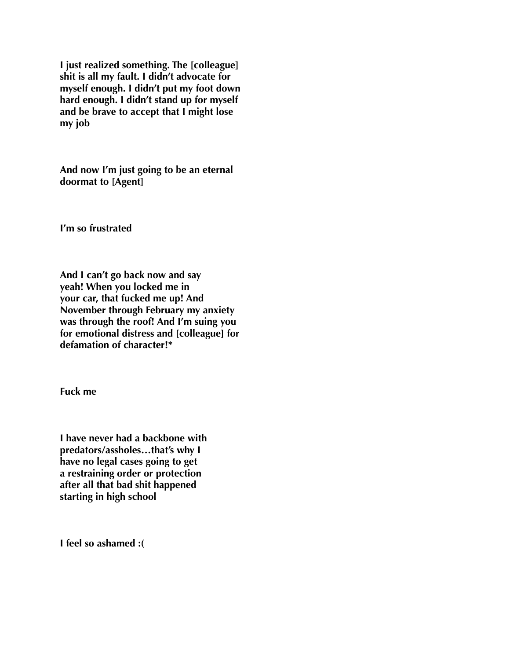**I just realized something. The [colleague] shit is all my fault. I didn't advocate for myself enough. I didn't put my foot down hard enough. I didn't stand up for myself and be brave to accept that I might lose my job** 

**And now I'm just going to be an eternal doormat to [Agent]** 

**I'm so frustrated** 

**And I can't go back now and say yeah! When you locked me in your car, that fucked me up! And November through February my anxiety was through the roof! And I'm suing you for emotional distress and [colleague] for defamation of character!\*** 

**Fuck me** 

**I have never had a backbone with predators/assholes…that's why I have no legal cases going to get a restraining order or protection after all that bad shit happened starting in high school** 

**I feel so ashamed :(**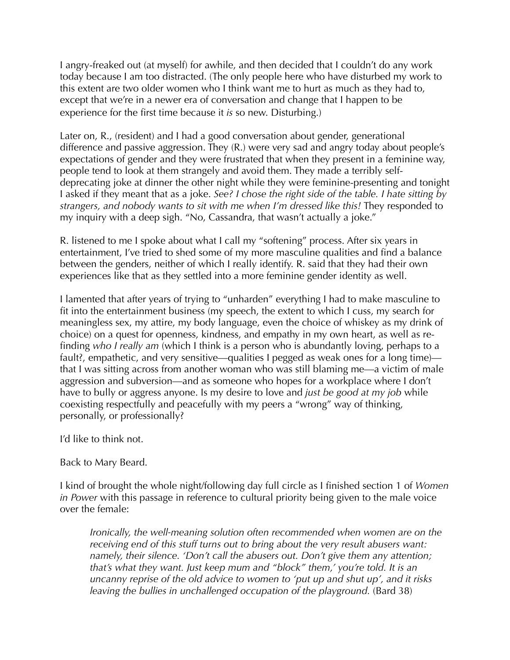I angry-freaked out (at myself) for awhile, and then decided that I couldn't do any work today because I am too distracted. (The only people here who have disturbed my work to this extent are two older women who I think want me to hurt as much as they had to, except that we're in a newer era of conversation and change that I happen to be experience for the first time because it *is* so new. Disturbing.)

Later on, R., (resident) and I had a good conversation about gender, generational difference and passive aggression. They (R.) were very sad and angry today about people's expectations of gender and they were frustrated that when they present in a feminine way, people tend to look at them strangely and avoid them. They made a terribly selfdeprecating joke at dinner the other night while they were feminine-presenting and tonight I asked if they meant that as a joke. *See? I chose the right side of the table. I hate sitting by strangers, and nobody wants to sit with me when I'm dressed like this!* They responded to my inquiry with a deep sigh. "No, Cassandra, that wasn't actually a joke."

R. listened to me I spoke about what I call my "softening" process. After six years in entertainment, I've tried to shed some of my more masculine qualities and find a balance between the genders, neither of which I really identify. R. said that they had their own experiences like that as they settled into a more feminine gender identity as well.

I lamented that after years of trying to "unharden" everything I had to make masculine to fit into the entertainment business (my speech, the extent to which I cuss, my search for meaningless sex, my attire, my body language, even the choice of whiskey as my drink of choice) on a quest for openness, kindness, and empathy in my own heart, as well as refinding *who I really am* (which I think is a person who is abundantly loving, perhaps to a fault?, empathetic, and very sensitive—qualities I pegged as weak ones for a long time) that I was sitting across from another woman who was still blaming me—a victim of male aggression and subversion—and as someone who hopes for a workplace where I don't have to bully or aggress anyone. Is my desire to love and *just be good at my job* while coexisting respectfully and peacefully with my peers a "wrong" way of thinking, personally, or professionally?

I'd like to think not.

Back to Mary Beard.

I kind of brought the whole night/following day full circle as I finished section 1 of *Women in Power* with this passage in reference to cultural priority being given to the male voice over the female:

*Ironically, the well-meaning solution often recommended when women are on the receiving end of this stuff turns out to bring about the very result abusers want: namely, their silence. 'Don't call the abusers out. Don't give them any attention; that's what they want. Just keep mum and "block" them,' you're told. It is an uncanny reprise of the old advice to women to 'put up and shut up', and it risks*  leaving the bullies in unchallenged occupation of the playground. (Bard 38)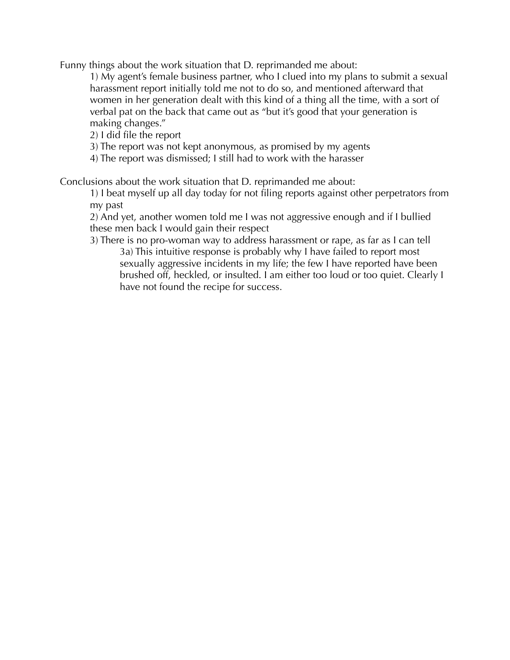Funny things about the work situation that D. reprimanded me about:

 1) My agent's female business partner, who I clued into my plans to submit a sexual harassment report initially told me not to do so, and mentioned afterward that women in her generation dealt with this kind of a thing all the time, with a sort of verbal pat on the back that came out as "but it's good that your generation is making changes."

2) I did file the report

3) The report was not kept anonymous, as promised by my agents

4) The report was dismissed; I still had to work with the harasser

Conclusions about the work situation that D. reprimanded me about:

 1) I beat myself up all day today for not filing reports against other perpetrators from my past

 2) And yet, another women told me I was not aggressive enough and if I bullied these men back I would gain their respect

 3) There is no pro-woman way to address harassment or rape, as far as I can tell 3a) This intuitive response is probably why I have failed to report most sexually aggressive incidents in my life; the few I have reported have been brushed off, heckled, or insulted. I am either too loud or too quiet. Clearly I have not found the recipe for success.